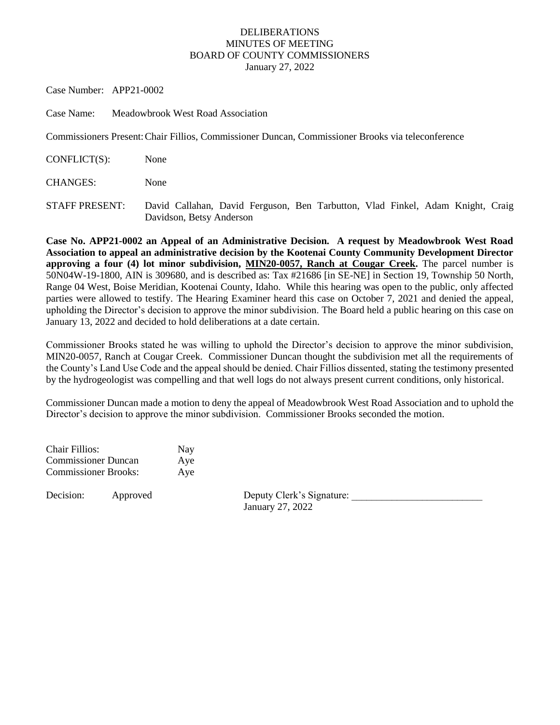## DELIBERATIONS MINUTES OF MEETING BOARD OF COUNTY COMMISSIONERS January 27, 2022

Case Number: APP21-0002

Case Name: Meadowbrook West Road Association

Commissioners Present:Chair Fillios, Commissioner Duncan, Commissioner Brooks via teleconference

CONFLICT(S): None

CHANGES: None

STAFF PRESENT: David Callahan, David Ferguson, Ben Tarbutton, Vlad Finkel, Adam Knight, Craig Davidson, Betsy Anderson

**Case No. APP21-0002 an Appeal of an Administrative Decision. A request by Meadowbrook West Road Association to appeal an administrative decision by the Kootenai County Community Development Director approving a four (4) lot minor subdivision, MIN20-0057, Ranch at Cougar Creek.** The parcel number is 50N04W-19-1800, AIN is 309680, and is described as: Tax #21686 [in SE-NE] in Section 19, Township 50 North, Range 04 West, Boise Meridian, Kootenai County, Idaho. While this hearing was open to the public, only affected parties were allowed to testify. The Hearing Examiner heard this case on October 7, 2021 and denied the appeal, upholding the Director's decision to approve the minor subdivision. The Board held a public hearing on this case on January 13, 2022 and decided to hold deliberations at a date certain.

Commissioner Brooks stated he was willing to uphold the Director's decision to approve the minor subdivision, MIN20-0057, Ranch at Cougar Creek. Commissioner Duncan thought the subdivision met all the requirements of the County's Land Use Code and the appeal should be denied. Chair Fillios dissented, stating the testimony presented by the hydrogeologist was compelling and that well logs do not always present current conditions, only historical.

Commissioner Duncan made a motion to deny the appeal of Meadowbrook West Road Association and to uphold the Director's decision to approve the minor subdivision. Commissioner Brooks seconded the motion.

| Chair Fillios:              | Nay |
|-----------------------------|-----|
| <b>Commissioner Duncan</b>  | Aye |
| <b>Commissioner Brooks:</b> | Aye |

Decision: Approved Deputy Clerk's Signature: January 27, 2022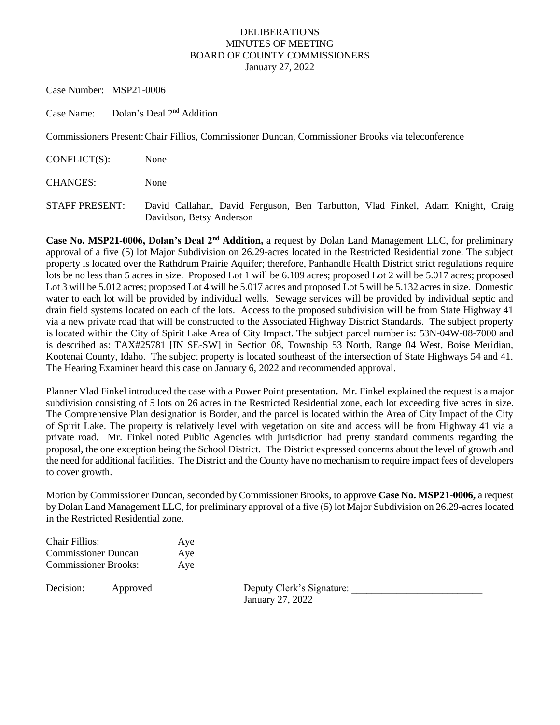## DELIBERATIONS MINUTES OF MEETING BOARD OF COUNTY COMMISSIONERS January 27, 2022

Case Number: MSP21-0006

Case Name: Dolan's Deal 2nd Addition

Commissioners Present:Chair Fillios, Commissioner Duncan, Commissioner Brooks via teleconference

CONFLICT(S): None

CHANGES: None

STAFF PRESENT: David Callahan, David Ferguson, Ben Tarbutton, Vlad Finkel, Adam Knight, Craig Davidson, Betsy Anderson

**Case No. MSP21-0006, Dolan's Deal 2nd Addition,** a request by Dolan Land Management LLC, for preliminary approval of a five (5) lot Major Subdivision on 26.29-acres located in the Restricted Residential zone. The subject property is located over the Rathdrum Prairie Aquifer; therefore, Panhandle Health District strict regulations require lots be no less than 5 acres in size. Proposed Lot 1 will be 6.109 acres; proposed Lot 2 will be 5.017 acres; proposed Lot 3 will be 5.012 acres; proposed Lot 4 will be 5.017 acres and proposed Lot 5 will be 5.132 acres in size. Domestic water to each lot will be provided by individual wells. Sewage services will be provided by individual septic and drain field systems located on each of the lots. Access to the proposed subdivision will be from State Highway 41 via a new private road that will be constructed to the Associated Highway District Standards. The subject property is located within the City of Spirit Lake Area of City Impact. The subject parcel number is: 53N-04W-08-7000 and is described as: TAX#25781 [IN SE-SW] in Section 08, Township 53 North, Range 04 West, Boise Meridian, Kootenai County, Idaho. The subject property is located southeast of the intersection of State Highways 54 and 41. The Hearing Examiner heard this case on January 6, 2022 and recommended approval.

Planner Vlad Finkel introduced the case with a Power Point presentation**.** Mr. Finkel explained the request is a major subdivision consisting of 5 lots on 26 acres in the Restricted Residential zone, each lot exceeding five acres in size. The Comprehensive Plan designation is Border, and the parcel is located within the Area of City Impact of the City of Spirit Lake. The property is relatively level with vegetation on site and access will be from Highway 41 via a private road. Mr. Finkel noted Public Agencies with jurisdiction had pretty standard comments regarding the proposal, the one exception being the School District. The District expressed concerns about the level of growth and the need for additional facilities. The District and the County have no mechanism to require impact fees of developers to cover growth.

Motion by Commissioner Duncan, seconded by Commissioner Brooks, to approve **Case No. MSP21-0006,** a request by Dolan Land Management LLC, for preliminary approval of a five (5) lot Major Subdivision on 26.29-acres located in the Restricted Residential zone.

| Chair Fillios:              | Aye |
|-----------------------------|-----|
| <b>Commissioner Duncan</b>  | Aye |
| <b>Commissioner Brooks:</b> | Aye |

Decision: Approved Deputy Clerk's Signature: January 27, 2022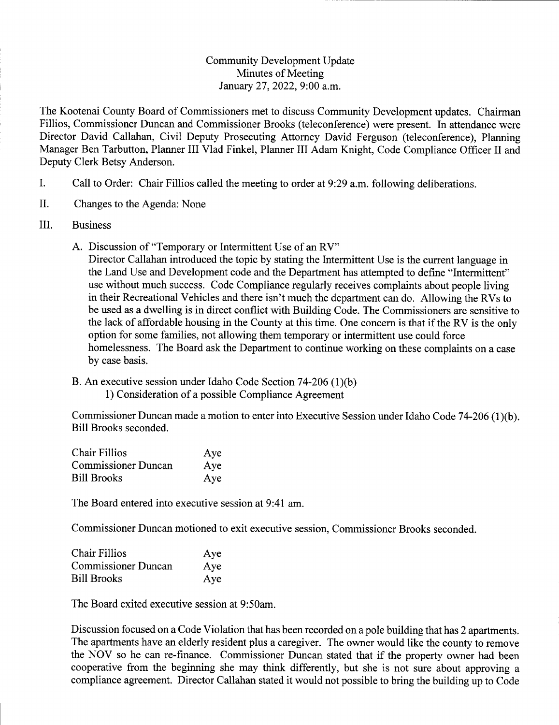## **Community Development Update** Minutes of Meeting January 27, 2022, 9:00 a.m.

The Kootenai County Board of Commissioners met to discuss Community Development updates. Chairman Fillios, Commissioner Duncan and Commissioner Brooks (teleconference) were present. In attendance were Director David Callahan, Civil Deputy Prosecuting Attorney David Ferguson (teleconference), Planning Manager Ben Tarbutton, Planner III Vlad Finkel, Planner III Adam Knight, Code Compliance Officer II and Deputy Clerk Betsy Anderson.

- I. Call to Order: Chair Fillios called the meeting to order at 9:29 a.m. following deliberations.
- II. Changes to the Agenda: None
- III. **Business** 
	- A. Discussion of "Temporary or Intermittent Use of an RV"

Director Callahan introduced the topic by stating the Intermittent Use is the current language in the Land Use and Development code and the Department has attempted to define "Intermittent" use without much success. Code Compliance regularly receives complaints about people living in their Recreational Vehicles and there isn't much the department can do. Allowing the RVs to be used as a dwelling is in direct conflict with Building Code. The Commissioners are sensitive to the lack of affordable housing in the County at this time. One concern is that if the RV is the only option for some families, not allowing them temporary or intermittent use could force homelessness. The Board ask the Department to continue working on these complaints on a case by case basis.

B. An executive session under Idaho Code Section 74-206 (1)(b) 1) Consideration of a possible Compliance Agreement

Commissioner Duncan made a motion to enter into Executive Session under Idaho Code 74-206 (1)(b). **Bill Brooks seconded.** 

| <b>Chair Fillios</b>       | Aye |
|----------------------------|-----|
| <b>Commissioner Duncan</b> | Aye |
| <b>Bill Brooks</b>         | Aye |

The Board entered into executive session at 9:41 am.

Commissioner Duncan motioned to exit executive session, Commissioner Brooks seconded.

| <b>Chair Fillios</b>       | Aye |
|----------------------------|-----|
| <b>Commissioner Duncan</b> | Aye |
| <b>Bill Brooks</b>         | Aye |

The Board exited executive session at 9:50am.

Discussion focused on a Code Violation that has been recorded on a pole building that has 2 apartments. The apartments have an elderly resident plus a caregiver. The owner would like the county to remove the NOV so he can re-finance. Commissioner Duncan stated that if the property owner had been cooperative from the beginning she may think differently, but she is not sure about approving a compliance agreement. Director Callahan stated it would not possible to bring the building up to Code